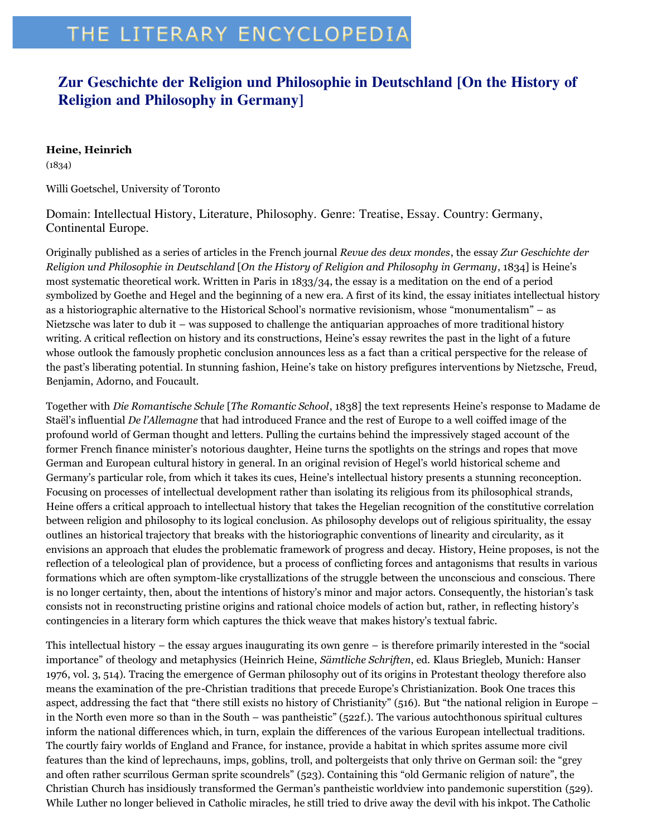## THE LITERARY ENCYCLOPEDIA

## **Zur Geschichte der Religion und Philosophie in Deutschland [On the History of Religion and Philosophy in Germany]**

## **Heine, Heinrich**

(1834)

Willi Goetschel, University of Toronto

Domain: Intellectual History, Literature, Philosophy. Genre: Treatise, Essay. Country: Germany, Continental Europe.

Originally published as a series of articles in the French journal *Revue des deux mondes*, the essay *Zur Geschichte der Religion und Philosophie in Deutschland* [*On the History of Religion and Philosophy in Germany*, 1834] is Heine's most systematic theoretical work. Written in Paris in 1833/34, the essay is a meditation on the end of a period symbolized by Goethe and Hegel and the beginning of a new era. A first of its kind, the essay initiates intellectual history as a historiographic alternative to the Historical School's normative revisionism, whose "monumentalism" – as Nietzsche was later to dub it – was supposed to challenge the antiquarian approaches of more traditional history writing. A critical reflection on history and its constructions, Heine's essay rewrites the past in the light of a future whose outlook the famously prophetic conclusion announces less as a fact than a critical perspective for the release of the past's liberating potential. In stunning fashion, Heine's take on history prefigures interventions by Nietzsche, Freud, Benjamin, Adorno, and Foucault.

Together with *Die Romantische Schule* [*The Romantic School*, 1838] the text represents Heine's response to Madame de Staël's influential *De l'Allemagne* that had introduced France and the rest of Europe to a well coiffed image of the profound world of German thought and letters. Pulling the curtains behind the impressively staged account of the former French finance minister's notorious daughter, Heine turns the spotlights on the strings and ropes that move German and European cultural history in general. In an original revision of Hegel's world historical scheme and Germany's particular role, from which it takes its cues, Heine's intellectual history presents a stunning reconception. Focusing on processes of intellectual development rather than isolating its religious from its philosophical strands, Heine offers a critical approach to intellectual history that takes the Hegelian recognition of the constitutive correlation between religion and philosophy to its logical conclusion. As philosophy develops out of religious spirituality, the essay outlines an historical trajectory that breaks with the historiographic conventions of linearity and circularity, as it envisions an approach that eludes the problematic framework of progress and decay. History, Heine proposes, is not the reflection of a teleological plan of providence, but a process of conflicting forces and antagonisms that results in various formations which are often symptom-like crystallizations of the struggle between the unconscious and conscious. There is no longer certainty, then, about the intentions of history's minor and major actors. Consequently, the historian's task consists not in reconstructing pristine origins and rational choice models of action but, rather, in reflecting history's contingencies in a literary form which captures the thick weave that makes history's textual fabric.

This intellectual history – the essay argues inaugurating its own genre – is therefore primarily interested in the "social importance" of theology and metaphysics (Heinrich Heine, *Sämtliche Schriften*, ed. Klaus Briegleb, Munich: Hanser 1976, vol. 3, 514). Tracing the emergence of German philosophy out of its origins in Protestant theology therefore also means the examination of the pre-Christian traditions that precede Europe's Christianization. Book One traces this aspect, addressing the fact that "there still exists no history of Christianity" (516). But "the national religion in Europe – in the North even more so than in the South – was pantheistic" (522f.). The various autochthonous spiritual cultures inform the national differences which, in turn, explain the differences of the various European intellectual traditions. The courtly fairy worlds of England and France, for instance, provide a habitat in which sprites assume more civil features than the kind of leprechauns, imps, goblins, troll, and poltergeists that only thrive on German soil: the "grey and often rather scurrilous German sprite scoundrels" (523). Containing this "old Germanic religion of nature", the Christian Church has insidiously transformed the German's pantheistic worldview into pandemonic superstition (529). While Luther no longer believed in Catholic miracles, he still tried to drive away the devil with his inkpot. The Catholic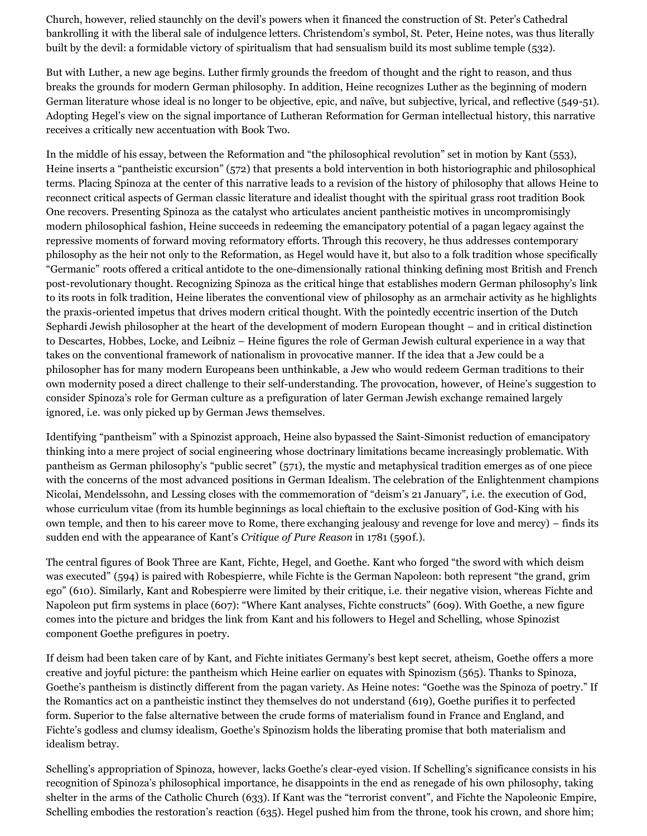Church, however, relied staunchly on the devil's powers when it financed the construction of St. Peter's Cathedral bankrolling it with the liberal sale of indulgence letters. Christendom's symbol, St. Peter, Heine notes, was thus literally built by the devil: a formidable victory of spiritualism that had sensualism build its most sublime temple (532).

But with Luther, a new age begins. Luther firmly grounds the freedom of thought and the right to reason, and thus breaks the grounds for modern German philosophy. In addition, Heine recognizes Luther as the beginning of modern German literature whose ideal is no longer to be objective, epic, and naïve, but subjective, lyrical, and reflective (549-51). Adopting Hegel's view on the signal importance of Lutheran Reformation for German intellectual history, this narrative receives a critically new accentuation with Book Two.

In the middle of his essay, between the Reformation and "the philosophical revolution" set in motion by Kant (553), Heine inserts a "pantheistic excursion" (572) that presents a bold intervention in both historiographic and philosophical terms. Placing Spinoza at the center of this narrative leads to a revision of the history of philosophy that allows Heine to reconnect critical aspects of German classic literature and idealist thought with the spiritual grass root tradition Book One recovers. Presenting Spinoza as the catalyst who articulates ancient pantheistic motives in uncompromisingly modern philosophical fashion, Heine succeeds in redeeming the emancipatory potential of a pagan legacy against the repressive moments of forward moving reformatory efforts. Through this recovery, he thus addresses contemporary philosophy as the heir not only to the Reformation, as Hegel would have it, but also to a folk tradition whose specifically "Germanic" roots offered a critical antidote to the one-dimensionally rational thinking defining most British and French post-revolutionary thought. Recognizing Spinoza as the critical hinge that establishes modern German philosophy's link to its roots in folk tradition, Heine liberates the conventional view of philosophy as an armchair activity as he highlights the praxis-oriented impetus that drives modern critical thought. With the pointedly eccentric insertion of the Dutch Sephardi Jewish philosopher at the heart of the development of modern European thought – and in critical distinction to Descartes, Hobbes, Locke, and Leibniz – Heine figures the role of German Jewish cultural experience in a way that takes on the conventional framework of nationalism in provocative manner. If the idea that a Jew could be a philosopher has for many modern Europeans been unthinkable, a Jew who would redeem German traditions to their own modernity posed a direct challenge to their self-understanding. The provocation, however, of Heine's suggestion to consider Spinoza's role for German culture as a prefiguration of later German Jewish exchange remained largely ignored, i.e. was only picked up by German Jews themselves.

Identifying "pantheism" with a Spinozist approach, Heine also bypassed the Saint-Simonist reduction of emancipatory thinking into a mere project of social engineering whose doctrinary limitations became increasingly problematic. With pantheism as German philosophy's "public secret" (571), the mystic and metaphysical tradition emerges as of one piece with the concerns of the most advanced positions in German Idealism. The celebration of the Enlightenment champions Nicolai, Mendelssohn, and Lessing closes with the commemoration of "deism's 21 January", i.e. the execution of God, whose curriculum vitae (from its humble beginnings as local chieftain to the exclusive position of God-King with his own temple, and then to his career move to Rome, there exchanging jealousy and revenge for love and mercy) – finds its sudden end with the appearance of Kant's *Critique of Pure Reason* in 1781 (590f.).

The central figures of Book Three are Kant, Fichte, Hegel, and Goethe. Kant who forged "the sword with which deism was executed" (594) is paired with Robespierre, while Fichte is the German Napoleon: both represent "the grand, grim ego" (610). Similarly, Kant and Robespierre were limited by their critique, i.e. their negative vision, whereas Fichte and Napoleon put firm systems in place (607): "Where Kant analyses, Fichte constructs" (609). With Goethe, a new figure comes into the picture and bridges the link from Kant and his followers to Hegel and Schelling, whose Spinozist component Goethe prefigures in poetry.

If deism had been taken care of by Kant, and Fichte initiates Germany's best kept secret, atheism, Goethe offers a more creative and joyful picture: the pantheism which Heine earlier on equates with Spinozism (565). Thanks to Spinoza, Goethe's pantheism is distinctly different from the pagan variety. As Heine notes: "Goethe was the Spinoza of poetry." If the Romantics act on a pantheistic instinct they themselves do not understand (619), Goethe purifies it to perfected form. Superior to the false alternative between the crude forms of materialism found in France and England, and Fichte's godless and clumsy idealism, Goethe's Spinozism holds the liberating promise that both materialism and idealism betray.

Schelling's appropriation of Spinoza, however, lacks Goethe's clear-eyed vision. If Schelling's significance consists in his recognition of Spinoza's philosophical importance, he disappoints in the end as renegade of his own philosophy, taking shelter in the arms of the Catholic Church (633). If Kant was the "terrorist convent", and Fichte the Napoleonic Empire, Schelling embodies the restoration's reaction (635). Hegel pushed him from the throne, took his crown, and shore him;